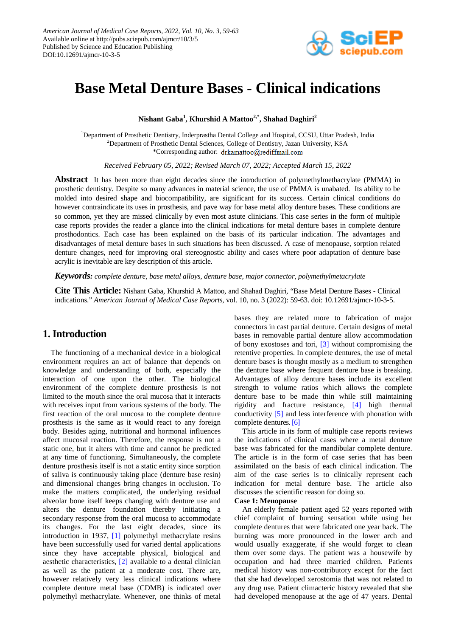

# **Base Metal Denture Bases - Clinical indications**

**Nishant Gaba<sup>1</sup> , Khurshid A Mattoo2,\* , Shahad Daghiri<sup>2</sup>**

<sup>1</sup>Department of Prosthetic Dentistry, Inderprastha Dental College and Hospital, CCSU, Uttar Pradesh, India <sup>2</sup>Department of Prosthetic Dental Sciences, College of Dentistry, Jazan University, KSA \*Corresponding author: drkamattoo@rediffmail.com

*Received February 05, 2022; Revised March 07, 2022; Accepted March 15, 2022*

**Abstract** It has been more than eight decades since the introduction of polymethylmethacrylate (PMMA) in prosthetic dentistry. Despite so many advances in material science, the use of PMMA is unabated. Its ability to be molded into desired shape and biocompatibility, are significant for its success. Certain clinical conditions do however contraindicate its uses in prosthesis, and pave way for base metal alloy denture bases. These conditions are so common, yet they are missed clinically by even most astute clinicians. This case series in the form of multiple case reports provides the reader a glance into the clinical indications for metal denture bases in complete denture prosthodontics. Each case has been explained on the basis of its particular indication. The advantages and disadvantages of metal denture bases in such situations has been discussed. A case of menopause, sorption related denture changes, need for improving oral stereognostic ability and cases where poor adaptation of denture base acrylic is inevitable are key description of this article.

*Keywords: complete denture, base metal alloys, denture base, major connector, polymethylmetacrylate*

**Cite This Article:** Nishant Gaba, Khurshid A Mattoo, and Shahad Daghiri, "Base Metal Denture Bases - Clinical indications." *American Journal of Medical Case Reports*, vol. 10, no. 3 (2022): 59-63. doi: 10.12691/ajmcr-10-3-5.

# **1. Introduction**

The functioning of a mechanical device in a biological environment requires an act of balance that depends on knowledge and understanding of both, especially the interaction of one upon the other. The biological environment of the complete denture prosthesis is not limited to the mouth since the oral mucosa that it interacts with receives input from various systems of the body. The first reaction of the oral mucosa to the complete denture prosthesis is the same as it would react to any foreign body. Besides aging, nutritional and hormonal influences affect mucosal reaction. Therefore, the response is not a static one, but it alters with time and cannot be predicted at any time of functioning. Simultaneously, the complete denture prosthesis itself is not a static entity since sorption of saliva is continuously taking place (denture base resin) and dimensional changes bring changes in occlusion. To make the matters complicated, the underlying residual alveolar bone itself keeps changing with denture use and alters the denture foundation thereby initiating a secondary response from the oral mucosa to accommodate its changes. For the last eight decades, since its introduction in 1937, [\[1\]](#page-3-0) polymethyl methacrylate resins have been successfully used for varied dental applications since they have acceptable physical, biological and aesthetic characteristics, [\[2\]](#page-3-1) available to a dental clinician as well as the patient at a moderate cost. There are, however relatively very less clinical indications where complete denture metal base (CDMB) is indicated over polymethyl methacrylate. Whenever, one thinks of metal bases they are related more to fabrication of major connectors in cast partial denture. Certain designs of metal bases in removable partial denture allow accommodation of bony exostoses and tori, [\[3\]](#page-4-0) without compromising the retentive properties. In complete dentures, the use of metal denture bases is thought mostly as a medium to strengthen the denture base where frequent denture base is breaking. Advantages of alloy denture bases include its excellent strength to volume ratios which allows the complete denture base to be made thin while still maintaining rigidity and fracture resistance, [\[4\]](#page-4-1) high thermal conductivity [\[5\]](#page-4-2) and less interference with phonation with complete dentures[. \[6\]](#page-4-3)

This article in its form of multiple case reports reviews the indications of clinical cases where a metal denture base was fabricated for the mandibular complete denture. The article is in the form of case series that has been assimilated on the basis of each clinical indication. The aim of the case series is to clinically represent each indication for metal denture base. The article also discusses the scientific reason for doing so.

## **Case 1: Menopause**

An elderly female patient aged 52 years reported with chief complaint of burning sensation while using her complete dentures that were fabricated one year back. The burning was more pronounced in the lower arch and would usually exaggerate, if she would forget to clean them over some days. The patient was a housewife by occupation and had three married children. Patients medical history was non-contributory except for the fact that she had developed xerostomia that was not related to any drug use. Patient climacteric history revealed that she had developed menopause at the age of 47 years. Dental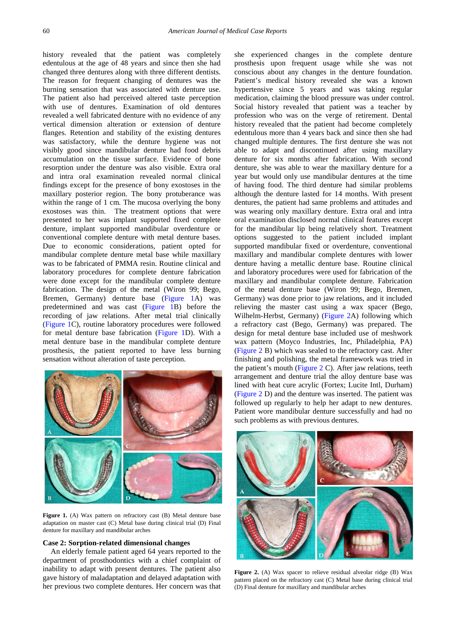history revealed that the patient was completely edentulous at the age of 48 years and since then she had changed three dentures along with three different dentists. The reason for frequent changing of dentures was the burning sensation that was associated with denture use. The patient also had perceived altered taste perception with use of dentures. Examination of old dentures revealed a well fabricated denture with no evidence of any vertical dimension alteration or extension of denture flanges. Retention and stability of the existing dentures was satisfactory, while the denture hygiene was not visibly good since mandibular denture had food debris accumulation on the tissue surface. Evidence of bone resorption under the denture was also visible. Extra oral and intra oral examination revealed normal clinical findings except for the presence of bony exostoses in the maxillary posterior region. The bony protuberance was within the range of 1 cm. The mucosa overlying the bony exostoses was thin. The treatment options that were presented to her was implant supported fixed complete denture, implant supported mandibular overdenture or conventional complete denture with metal denture bases. Due to economic considerations, patient opted for mandibular complete denture metal base while maxillary was to be fabricated of PMMA resin. Routine clinical and laboratory procedures for complete denture fabrication were done except for the mandibular complete denture fabrication. The design of the metal (Wiron 99; Bego, Bremen, Germany) denture base [\(Figure 1A](#page-1-0)) was predetermined and was cast [\(Figure 1B](#page-1-0)) before the recording of jaw relations. After metal trial clinically [\(Figure 1C](#page-1-0)), routine laboratory procedures were followed for metal denture base fabrication [\(Figure 1D](#page-1-0)). With a metal denture base in the mandibular complete denture prosthesis, the patient reported to have less burning sensation without alteration of taste perception.

<span id="page-1-0"></span>

Figure 1. (A) Wax pattern on refractory cast (B) Metal denture base adaptation on master cast (C) Metal base during clinical trial (D) Final denture for maxillary and mandibular arches

### **Case 2: Sorption-related dimensional changes**

An elderly female patient aged 64 years reported to the department of prosthodontics with a chief complaint of inability to adapt with present dentures. The patient also gave history of maladaptation and delayed adaptation with her previous two complete dentures. Her concern was that she experienced changes in the complete denture prosthesis upon frequent usage while she was not conscious about any changes in the denture foundation. Patient's medical history revealed she was a known hypertensive since 5 years and was taking regular medication, claiming the blood pressure was under control. Social history revealed that patient was a teacher by profession who was on the verge of retirement. Dental history revealed that the patient had become completely edentulous more than 4 years back and since then she had changed multiple dentures. The first denture she was not able to adapt and discontinued after using maxillary denture for six months after fabrication. With second denture, she was able to wear the maxillary denture for a year but would only use mandibular dentures at the time of having food. The third denture had similar problems although the denture lasted for 14 months. With present dentures, the patient had same problems and attitudes and was wearing only maxillary denture. Extra oral and intra oral examination disclosed normal clinical features except for the mandibular lip being relatively short. Treatment options suggested to the patient included implant supported mandibular fixed or overdenture, conventional maxillary and mandibular complete dentures with lower denture having a metallic denture base. Routine clinical and laboratory procedures were used for fabrication of the maxillary and mandibular complete denture. Fabrication of the metal denture base (Wiron 99; Bego, Bremen, Germany) was done prior to jaw relations, and it included relieving the master cast using a wax spacer (Bego, Wilhelm-Herbst, Germany) [\(Figure 2A](#page-1-1)) following which a refractory cast (Bego, Germany) was prepared. The design for metal denture base included use of meshwork wax pattern (Moyco Industries, Inc, Philadelphia, PA) [\(Figure 2](#page-1-1) B) which was sealed to the refractory cast. After finishing and polishing, the metal framework was tried in the patient's mouth [\(Figure 2](#page-1-1) C). After jaw relations, teeth arrangement and denture trial the alloy denture base was lined with heat cure acrylic (Fortex; Lucite Intl, Durham) [\(Figure 2](#page-1-1) D) and the denture was inserted. The patient was followed up regularly to help her adapt to new dentures. Patient wore mandibular denture successfully and had no such problems as with previous dentures.

<span id="page-1-1"></span>

**Figure 2.** (A) Wax spacer to relieve residual alveolar ridge (B) Wax pattern placed on the refractory cast (C) Metal base during clinical trial (D) Final denture for maxillary and mandibular arches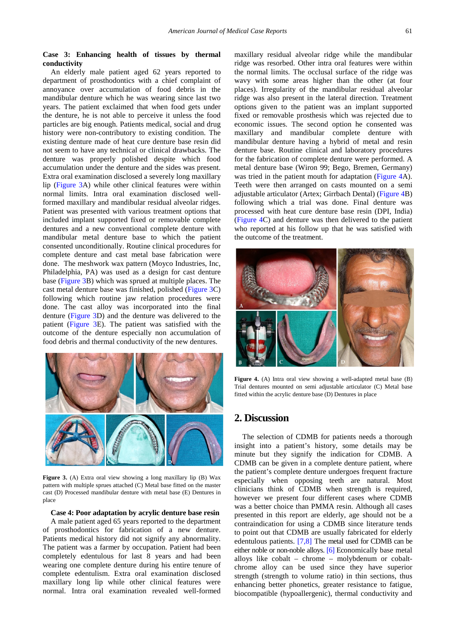## **Case 3: Enhancing health of tissues by thermal conductivity**

An elderly male patient aged 62 years reported to department of prosthodontics with a chief complaint of annoyance over accumulation of food debris in the mandibular denture which he was wearing since last two years. The patient exclaimed that when food gets under the denture, he is not able to perceive it unless the food particles are big enough. Patients medical, social and drug history were non-contributory to existing condition. The existing denture made of heat cure denture base resin did not seem to have any technical or clinical drawbacks. The denture was properly polished despite which food accumulation under the denture and the sides was present. Extra oral examination disclosed a severely long maxillary lip [\(Figure 3A](#page-2-0)) while other clinical features were within normal limits. Intra oral examination disclosed wellformed maxillary and mandibular residual alveolar ridges. Patient was presented with various treatment options that included implant supported fixed or removable complete dentures and a new conventional complete denture with mandibular metal denture base to which the patient consented unconditionally. Routine clinical procedures for complete denture and cast metal base fabrication were done. The meshwork wax pattern (Moyco Industries, Inc, Philadelphia, PA) was used as a design for cast denture base [\(Figure 3B](#page-2-0)) which was sprued at multiple places. The cast metal denture base was finished, polished [\(Figure 3C](#page-2-0)) following which routine jaw relation procedures were done. The cast alloy was incorporated into the final denture [\(Figure 3D](#page-2-0)) and the denture was delivered to the patient [\(Figure 3E](#page-2-0)). The patient was satisfied with the outcome of the denture especially non accumulation of food debris and thermal conductivity of the new dentures.

<span id="page-2-0"></span>

**Figure 3.** (A) Extra oral view showing a long maxillary lip (B) Wax pattern with multiple sprues attached (C) Metal base fitted on the master cast (D) Processed mandibular denture with metal base (E) Dentures in place

#### **Case 4: Poor adaptation by acrylic denture base resin**

A male patient aged 65 years reported to the department of prosthodontics for fabrication of a new denture. Patients medical history did not signify any abnormality. The patient was a farmer by occupation. Patient had been completely edentulous for last 8 years and had been wearing one complete denture during his entire tenure of complete edentulism. Extra oral examination disclosed maxillary long lip while other clinical features were normal. Intra oral examination revealed well-formed

maxillary residual alveolar ridge while the mandibular ridge was resorbed. Other intra oral features were within the normal limits. The occlusal surface of the ridge was wavy with some areas higher than the other (at four places). Irregularity of the mandibular residual alveolar ridge was also present in the lateral direction. Treatment options given to the patient was an implant supported fixed or removable prosthesis which was rejected due to economic issues. The second option he consented was maxillary and mandibular complete denture with mandibular denture having a hybrid of metal and resin denture base. Routine clinical and laboratory procedures for the fabrication of complete denture were performed. A metal denture base (Wiron 99; Bego, Bremen, Germany) was tried in the patient mouth for adaptation [\(Figure 4A](#page-2-1)). Teeth were then arranged on casts mounted on a semi adjustable articulator (Artex; Girrbach Dental) [\(Figure 4B](#page-2-1)) following which a trial was done. Final denture was processed with heat cure denture base resin (DPI, India) [\(Figure 4C](#page-2-1)) and denture was then delivered to the patient who reported at his follow up that he was satisfied with the outcome of the treatment.

<span id="page-2-1"></span>

**Figure 4.** (A) Intra oral view showing a well-adapted metal base (B) Trial dentures mounted on semi adjustable articulator (C) Metal base fitted within the acrylic denture base (D) Dentures in place

## **2. Discussion**

The selection of CDMB for patients needs a thorough insight into a patient's history, some details may be minute but they signify the indication for CDMB. A CDMB can be given in a complete denture patient, where the patient's complete denture undergoes frequent fracture especially when opposing teeth are natural. Most clinicians think of CDMB when strength is required, however we present four different cases where CDMB was a better choice than PMMA resin. Although all cases presented in this report are elderly, age should not be a contraindication for using a CDMB since literature tends to point out that CDMB are usually fabricated for elderly edentulous patients. [\[7,8\]](#page-4-4) The metal used for CDMB can be either noble or non-noble alloys. [\[6\]](#page-4-3) Economically base metal alloys like cobalt – chrome – molybdenum or cobaltchrome alloy can be used since they have superior strength (strength to volume ratio) in thin sections, thus enhancing better phonetics, greater resistance to fatigue, biocompatible (hypoallergenic), thermal conductivity and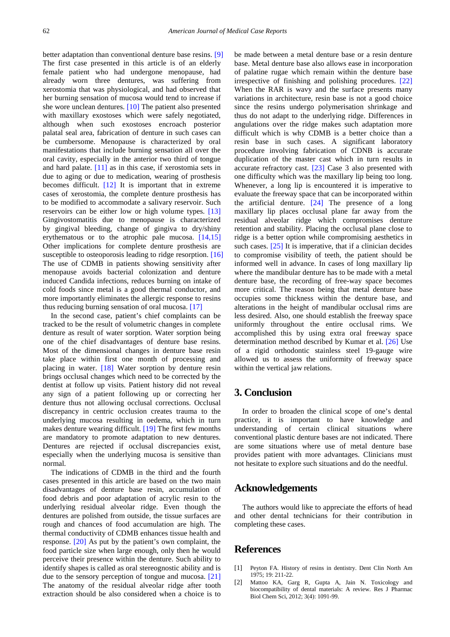better adaptation than conventional denture base resins. [\[9\]](#page-4-5) The first case presented in this article is of an elderly female patient who had undergone menopause, had already worn three dentures, was suffering from xerostomia that was physiological, and had observed that her burning sensation of mucosa would tend to increase if she wore unclean dentures. [\[10\]](#page-4-6) The patient also presented with maxillary exostoses which were safely negotiated, although when such exostoses encroach posterior palatal seal area, fabrication of denture in such cases can be cumbersome. Menopause is characterized by oral manifestations that include burning sensation all over the oral cavity, especially in the anterior two third of tongue and hard palate. [\[11\]](#page-4-7) as in this case, if xerostomia sets in due to aging or due to medication, wearing of prosthesis becomes difficult. [\[12\]](#page-4-8) It is important that in extreme cases of xerostomia, the complete denture prosthesis has to be modified to accommodate a salivary reservoir. Such reservoirs can be either low or high volume types. [\[13\]](#page-4-9) Gingivostomatitis due to menopause is characterized by gingival bleeding, change of gingiva to dry/shiny erythematous or to the atrophic pale mucosa. [\[14,15\]](#page-4-10) Other implications for complete denture prosthesis are susceptible to osteoporosis leading to ridge resorption. [\[16\]](#page-4-11) The use of CDMB in patients showing sensitivity after menopause avoids bacterial colonization and denture induced Candida infections, reduces burning on intake of cold foods since metal is a good thermal conductor, and more importantly eliminates the allergic response to resins thus reducing burning sensation of oral mucosa. [\[17\]](#page-4-12)

In the second case, patient's chief complaints can be tracked to be the result of volumetric changes in complete denture as result of water sorption. Water sorption being one of the chief disadvantages of denture base resins. Most of the dimensional changes in denture base resin take place within first one month of processing and placing in water. [\[18\]](#page-4-13) Water sorption by denture resin brings occlusal changes which need to be corrected by the dentist at follow up visits. Patient history did not reveal any sign of a patient following up or correcting her denture thus not allowing occlusal corrections. Occlusal discrepancy in centric occlusion creates trauma to the underlying mucosa resulting in oedema, which in turn makes denture wearing difficult. [\[19\]](#page-4-14) The first few months are mandatory to promote adaptation to new dentures. Dentures are rejected if occlusal discrepancies exist, especially when the underlying mucosa is sensitive than normal.

The indications of CDMB in the third and the fourth cases presented in this article are based on the two main disadvantages of denture base resin, accumulation of food debris and poor adaptation of acrylic resin to the underlying residual alveolar ridge. Even though the dentures are polished from outside, the tissue surfaces are rough and chances of food accumulation are high. The thermal conductivity of CDMB enhances tissue health and response. [\[20\]](#page-4-15) As put by the patient's own complaint, the food particle size when large enough, only then he would perceive their presence within the denture. Such ability to identify shapes is called as oral stereognostic ability and is due to the sensory perception of tongue and mucosa. [\[21\]](#page-4-16) The anatomy of the residual alveolar ridge after tooth extraction should be also considered when a choice is to

be made between a metal denture base or a resin denture base. Metal denture base also allows ease in incorporation of palatine rugae which remain within the denture base irrespective of finishing and polishing procedures. [\[22\]](#page-4-17) When the RAR is wavy and the surface presents many variations in architecture, resin base is not a good choice since the resins undergo polymerisation shrinkage and thus do not adapt to the underlying ridge. Differences in angulations over the ridge makes such adaptation more difficult which is why CDMB is a better choice than a resin base in such cases. A significant laboratory procedure involving fabrication of CDNB is accurate duplication of the master cast which in turn results in accurate refractory cast. [\[23\]](#page-4-18) Case 3 also presented with one difficulty which was the maxillary lip being too long. Whenever, a long lip is encountered it is imperative to evaluate the freeway space that can be incorporated within the artificial denture. [\[24\]](#page-4-19) The presence of a long maxillary lip places occlusal plane far away from the residual alveolar ridge which compromises denture retention and stability. Placing the occlusal plane close to ridge is a better option while compromising aesthetics in such cases. [\[25\]](#page-4-20) It is imperative, that if a clinician decides to compromise visibility of teeth, the patient should be informed well in advance. In cases of long maxillary lip where the mandibular denture has to be made with a metal denture base, the recording of free-way space becomes more critical. The reason being that metal denture base occupies some thickness within the denture base, and alterations in the height of mandibular occlusal rims are less desired. Also, one should establish the freeway space uniformly throughout the entire occlusal rims. We accomplished this by using extra oral freeway space determination method described by Kumar et al. [\[26\]](#page-4-21) Use of a rigid orthodontic stainless steel 19-gauge wire allowed us to assess the uniformity of freeway space within the vertical jaw relations.

# **3. Conclusion**

In order to broaden the clinical scope of one's dental practice, it is important to have knowledge and understanding of certain clinical situations where conventional plastic denture bases are not indicated. There are some situations where use of metal denture base provides patient with more advantages. Clinicians must not hesitate to explore such situations and do the needful.

## **Acknowledgements**

The authors would like to appreciate the efforts of head and other dental technicians for their contribution in completing these cases.

## **References**

- <span id="page-3-0"></span>[1] Peyton FA. History of resins in dentistry. Dent Clin North Am 1975; 19: 211-22.
- <span id="page-3-1"></span>[2] Mattoo KA, Garg R, Gupta A, Jain N. Toxicology and biocompatibility of dental materials: A review. Res J Pharmac Biol Chem Sci, 2012; 3(4): 1091-99.